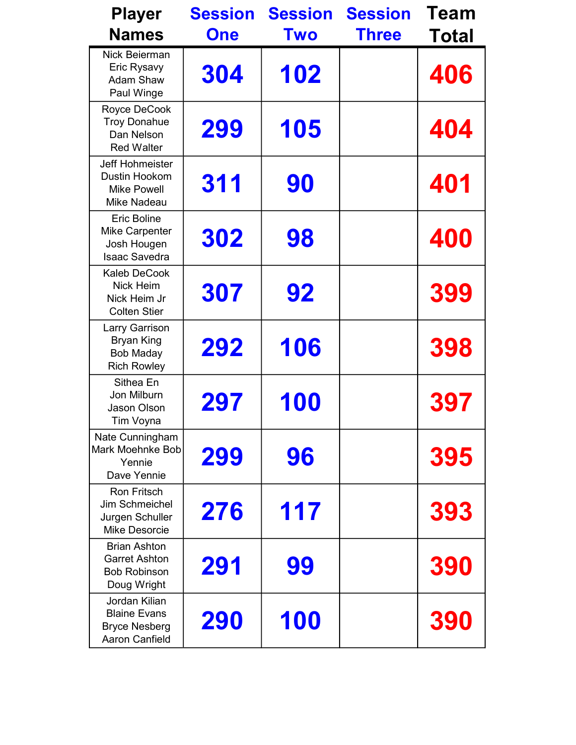| <b>Player</b>                                                                         | <b>Session</b> | <b>Session</b> | <b>Session</b> | Team  |
|---------------------------------------------------------------------------------------|----------------|----------------|----------------|-------|
| <b>Names</b>                                                                          | <b>One</b>     | <b>Two</b>     | <b>Three</b>   | Total |
| <b>Nick Beierman</b><br>Eric Rysavy<br><b>Adam Shaw</b><br>Paul Winge                 | 304            | 102            |                | 406   |
| Royce DeCook<br><b>Troy Donahue</b><br>Dan Nelson<br><b>Red Walter</b>                | 299            | 105            |                | 404   |
| <b>Jeff Hohmeister</b><br>Dustin Hookom<br><b>Mike Powell</b><br>Mike Nadeau          | 311            | 90             |                | 401   |
| <b>Eric Boline</b><br><b>Mike Carpenter</b><br>Josh Hougen<br><b>Isaac Savedra</b>    | 302            | 98             |                | 400   |
| <b>Kaleb DeCook</b><br>Nick Heim<br>Nick Heim Jr<br><b>Colten Stier</b>               | 307            | 92             |                | 399   |
| Larry Garrison<br><b>Bryan King</b><br><b>Bob Maday</b><br><b>Rich Rowley</b>         | 292            | 106            |                | 398   |
| Sithea En<br>Jon Milburn<br>Jason Olson<br>Tim Voyna                                  | 297            | 100            |                | 397   |
| Nate Cunningham<br>Mark Moehnke Bob<br>Yennie<br>Dave Yennie                          | 299            | 96             |                | 395   |
| <b>Ron Fritsch</b><br>Jim Schmeichel<br>Jurgen Schuller<br><b>Mike Desorcie</b>       | 276            | 117            |                | 393   |
| <b>Brian Ashton</b><br><b>Garret Ashton</b><br><b>Bob Robinson</b><br>Doug Wright     | 291            | 99             |                | 390   |
| Jordan Kilian<br><b>Blaine Evans</b><br><b>Bryce Nesberg</b><br><b>Aaron Canfield</b> | 290            | 100            |                | 390   |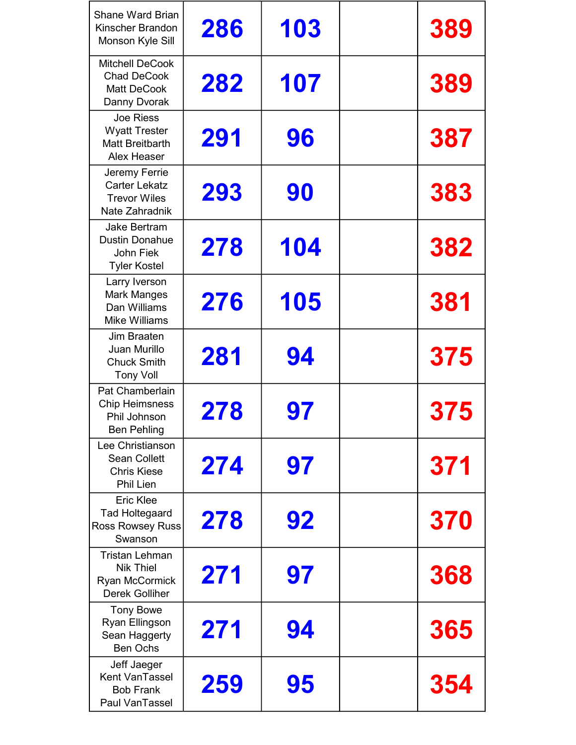| <b>Shane Ward Brian</b><br>Kinscher Brandon<br>Monson Kyle Sill                      | 286 | 103 | 389 |
|--------------------------------------------------------------------------------------|-----|-----|-----|
| <b>Mitchell DeCook</b><br><b>Chad DeCook</b><br><b>Matt DeCook</b><br>Danny Dvorak   | 282 | 107 | 389 |
| Joe Riess<br><b>Wyatt Trester</b><br><b>Matt Breitbarth</b><br>Alex Heaser           | 291 | 96  | 387 |
| Jeremy Ferrie<br><b>Carter Lekatz</b><br><b>Trevor Wiles</b><br>Nate Zahradnik       | 293 | 90  | 383 |
| Jake Bertram<br><b>Dustin Donahue</b><br>John Fiek<br><b>Tyler Kostel</b>            | 278 | 104 | 382 |
| Larry Iverson<br><b>Mark Manges</b><br>Dan Williams<br><b>Mike Williams</b>          | 276 | 105 | 381 |
| Jim Braaten<br>Juan Murillo<br><b>Chuck Smith</b><br><b>Tony Voll</b>                | 281 | 94  | 375 |
| Pat Chamberlain<br><b>Chip Heimsness</b><br>Phil Johnson<br><b>Ben Pehling</b>       | 278 | 97  | 375 |
| Lee Christianson<br><b>Sean Collett</b><br><b>Chris Kiese</b><br>Phil Lien           | 274 | 97  | 371 |
| <b>Eric Klee</b><br><b>Tad Holtegaard</b><br><b>Ross Rowsey Russ</b><br>Swanson      | 278 | 92  | 370 |
| <b>Tristan Lehman</b><br><b>Nik Thiel</b><br>Ryan McCormick<br><b>Derek Golliher</b> | 271 | 97  | 368 |
| <b>Tony Bowe</b><br>Ryan Ellingson<br>Sean Haggerty<br><b>Ben Ochs</b>               | 271 | 94  | 365 |
| Jeff Jaeger<br>Kent VanTassel<br><b>Bob Frank</b><br>Paul VanTassel                  | 259 | 95  | 354 |